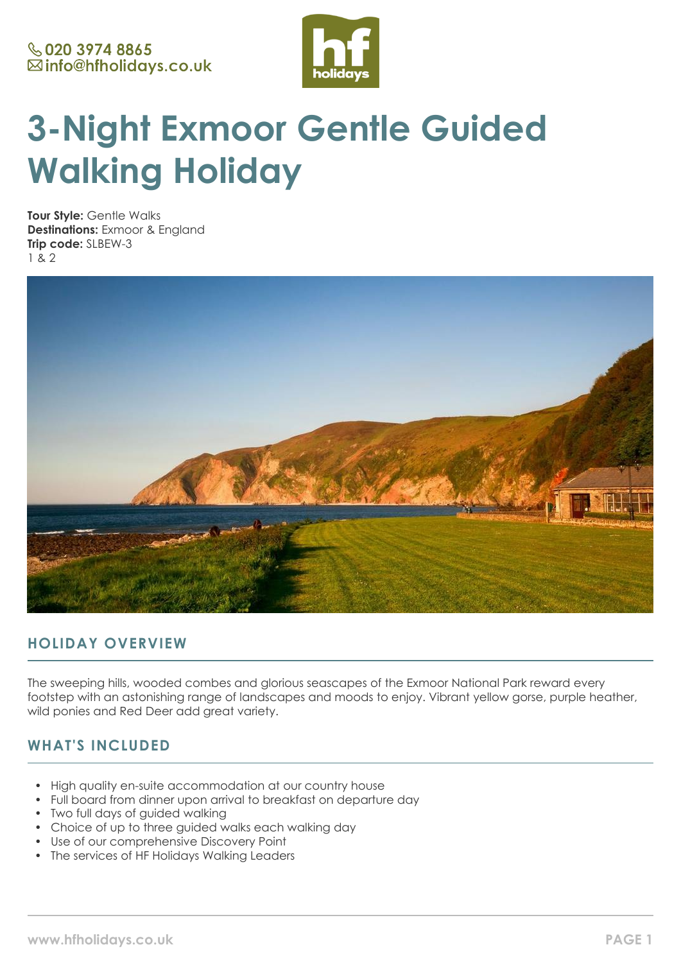

# **3-Night Exmoor Gentle Guided Walking Holiday**

**Tour Style:** Gentle Walks **Destinations:** Exmoor & England **Trip code:** SLBEW-3 1 & 2



# **HOLIDAY OVERVIEW**

The sweeping hills, wooded combes and glorious seascapes of the Exmoor National Park reward every footstep with an astonishing range of landscapes and moods to enjoy. Vibrant yellow gorse, purple heather, wild ponies and Red Deer add great variety.

# **WHAT'S INCLUDED**

- High quality en-suite accommodation at our country house
- Full board from dinner upon arrival to breakfast on departure day
- Two full days of guided walking
- Choice of up to three quided walks each walking day
- Use of our comprehensive Discovery Point
- The services of HF Holidays Walking Leaders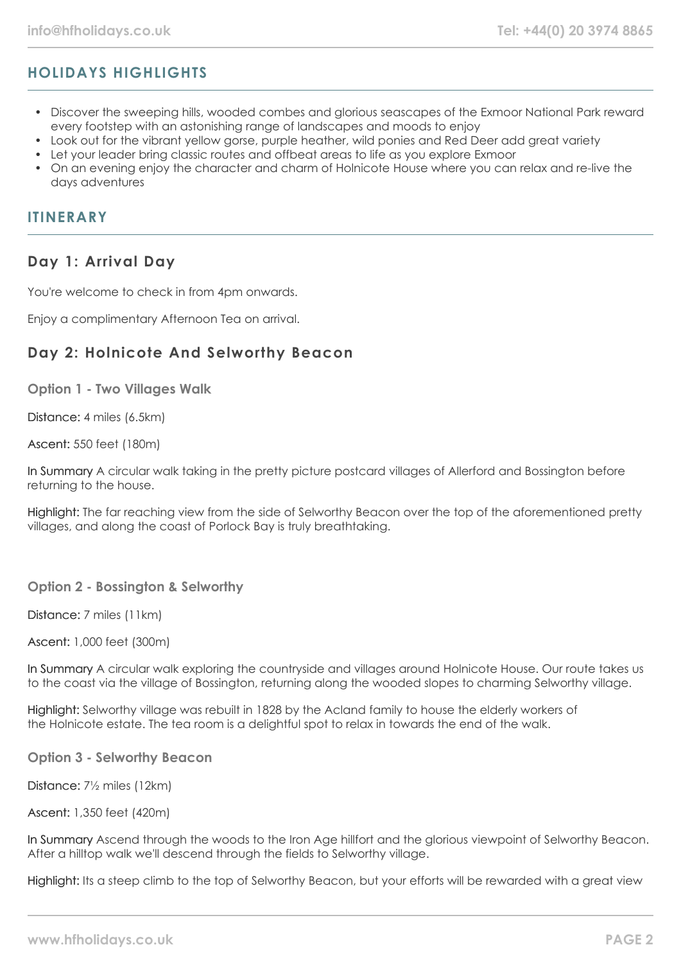# **HOLIDAYS HIGHLIGHTS**

- Discover the sweeping hills, wooded combes and glorious seascapes of the Exmoor National Park reward every footstep with an astonishing range of landscapes and moods to enjoy
- Look out for the vibrant yellow gorse, purple heather, wild ponies and Red Deer add great variety
- Let your leader bring classic routes and offbeat areas to life as you explore Exmoor
- On an evening enjoy the character and charm of Holnicote House where you can relax and re-live the days adventures

#### **ITINERARY**

#### **Day 1: Arrival Day**

You're welcome to check in from 4pm onwards.

Enjoy a complimentary Afternoon Tea on arrival.

## **Day 2: Holnicote And Selworthy Beacon**

**Option 1 - Two Villages Walk**

Distance: 4 miles (6.5km)

Ascent: 550 feet (180m)

In Summary A circular walk taking in the pretty picture postcard villages of Allerford and Bossington before returning to the house.

Highlight: The far reaching view from the side of Selworthy Beacon over the top of the aforementioned pretty villages, and along the coast of Porlock Bay is truly breathtaking.

#### **Option 2 - Bossington & Selworthy**

Distance: 7 miles (11km)

Ascent: 1,000 feet (300m)

In Summary A circular walk exploring the countryside and villages around Holnicote House. Our route takes us to the coast via the village of Bossington, returning along the wooded slopes to charming Selworthy village.

Highlight: Selworthy village was rebuilt in 1828 by the Acland family to house the elderly workers of the Holnicote estate. The tea room is a delightful spot to relax in towards the end of the walk.

**Option 3 - Selworthy Beacon**

Distance: 7½ miles (12km)

Ascent: 1,350 feet (420m)

In Summary Ascend through the woods to the Iron Age hillfort and the glorious viewpoint of Selworthy Beacon. After a hilltop walk we'll descend through the fields to Selworthy village.

Highlight: Its a steep climb to the top of Selworthy Beacon, but your efforts will be rewarded with a great view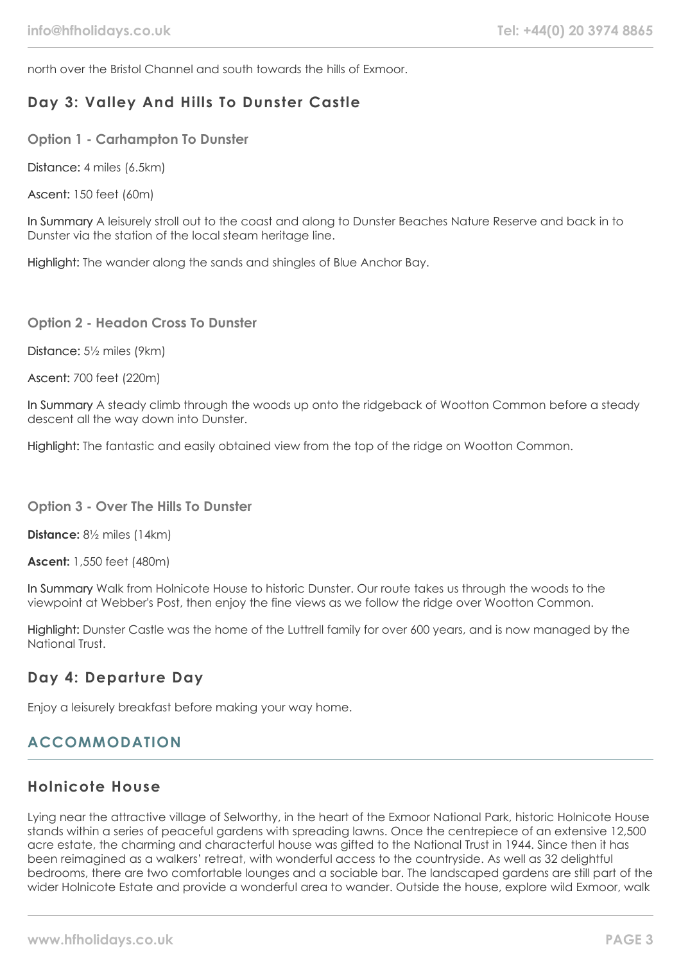north over the Bristol Channel and south towards the hills of Exmoor.

## **Day 3: Valley And Hills To Dunster Castle**

**Option 1 - Carhampton To Dunster**

Distance: 4 miles (6.5km)

Ascent: 150 feet (60m)

In Summary A leisurely stroll out to the coast and along to Dunster Beaches Nature Reserve and back in to Dunster via the station of the local steam heritage line.

Highlight: The wander along the sands and shingles of Blue Anchor Bay.

**Option 2 - Headon Cross To Dunster**

Distance: 5½ miles (9km)

Ascent: 700 feet (220m)

In Summary A steady climb through the woods up onto the ridgeback of Wootton Common before a steady descent all the way down into Dunster.

Highlight: The fantastic and easily obtained view from the top of the ridge on Wootton Common.

#### **Option 3 - Over The Hills To Dunster**

**Distance:** 8½ miles (14km)

**Ascent:** 1,550 feet (480m)

In Summary Walk from Holnicote House to historic Dunster. Our route takes us through the woods to the viewpoint at Webber's Post, then enjoy the fine views as we follow the ridge over Wootton Common.

Highlight: Dunster Castle was the home of the Luttrell family for over 600 years, and is now managed by the National Trust.

#### **Day 4: Departure Day**

Enjoy a leisurely breakfast before making your way home.

## **ACCOMMODATION**

#### **Holnicote House**

Lying near the attractive village of Selworthy, in the heart of the Exmoor National Park, historic Holnicote House stands within a series of peaceful gardens with spreading lawns. Once the centrepiece of an extensive 12,500 acre estate, the charming and characterful house was gifted to the National Trust in 1944. Since then it has been reimagined as a walkers' retreat, with wonderful access to the countryside. As well as 32 delightful bedrooms, there are two comfortable lounges and a sociable bar. The landscaped gardens are still part of the wider Holnicote Estate and provide a wonderful area to wander. Outside the house, explore wild Exmoor, walk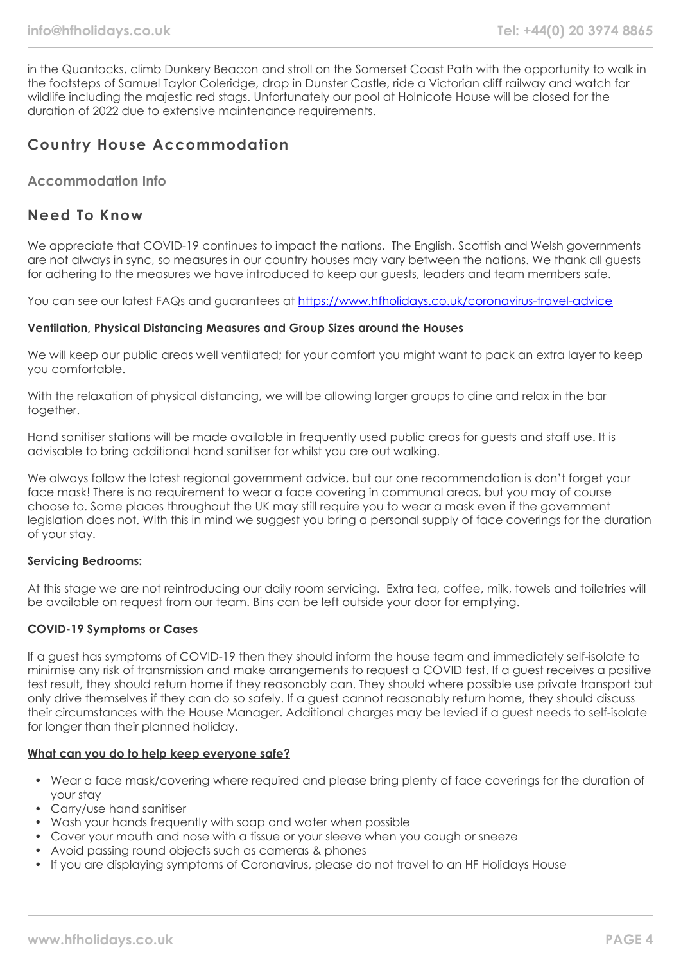in the Quantocks, climb Dunkery Beacon and stroll on the Somerset Coast Path with the opportunity to walk in the footsteps of Samuel Taylor Coleridge, drop in Dunster Castle, ride a Victorian cliff railway and watch for wildlife including the majestic red stags. Unfortunately our pool at Holnicote House will be closed for the duration of 2022 due to extensive maintenance requirements.

## **Country House Accommodation**

#### **Accommodation Info**

#### **Need To Know**

We appreciate that COVID-19 continues to impact the nations. The English, Scottish and Welsh governments are not always in sync, so measures in our country houses may vary between the nations. We thank all quests for adhering to the measures we have introduced to keep our guests, leaders and team members safe.

You can see our latest FAQs and guarantees at <https://www.hfholidays.co.uk/coronavirus-travel-advice>

#### **Ventilation, Physical Distancing Measures and Group Sizes around the Houses**

We will keep our public areas well ventilated; for your comfort you might want to pack an extra layer to keep you comfortable.

With the relaxation of physical distancing, we will be allowing larger groups to dine and relax in the bar together.

Hand sanitiser stations will be made available in frequently used public areas for guests and staff use. It is advisable to bring additional hand sanitiser for whilst you are out walking.

We always follow the latest regional government advice, but our one recommendation is don't forget your face mask! There is no requirement to wear a face covering in communal areas, but you may of course choose to. Some places throughout the UK may still require you to wear a mask even if the government legislation does not. With this in mind we suggest you bring a personal supply of face coverings for the duration of your stay.

#### **Servicing Bedrooms:**

At this stage we are not reintroducing our daily room servicing. Extra tea, coffee, milk, towels and toiletries will be available on request from our team. Bins can be left outside your door for emptying.

#### **COVID-19 Symptoms or Cases**

If a guest has symptoms of COVID-19 then they should inform the house team and immediately self-isolate to minimise any risk of transmission and make arrangements to request a COVID test. If a guest receives a positive test result, they should return home if they reasonably can. They should where possible use private transport but only drive themselves if they can do so safely. If a guest cannot reasonably return home, they should discuss their circumstances with the House Manager. Additional charges may be levied if a guest needs to self-isolate for longer than their planned holiday.

#### **What can you do to help keep everyone safe?**

- Wear a face mask/covering where required and please bring plenty of face coverings for the duration of your stay
- Carry/use hand sanitiser
- Wash your hands frequently with soap and water when possible
- Cover your mouth and nose with a tissue or your sleeve when you cough or sneeze
- Avoid passing round objects such as cameras & phones
- If you are displaying symptoms of Coronavirus, please do not travel to an HF Holidays House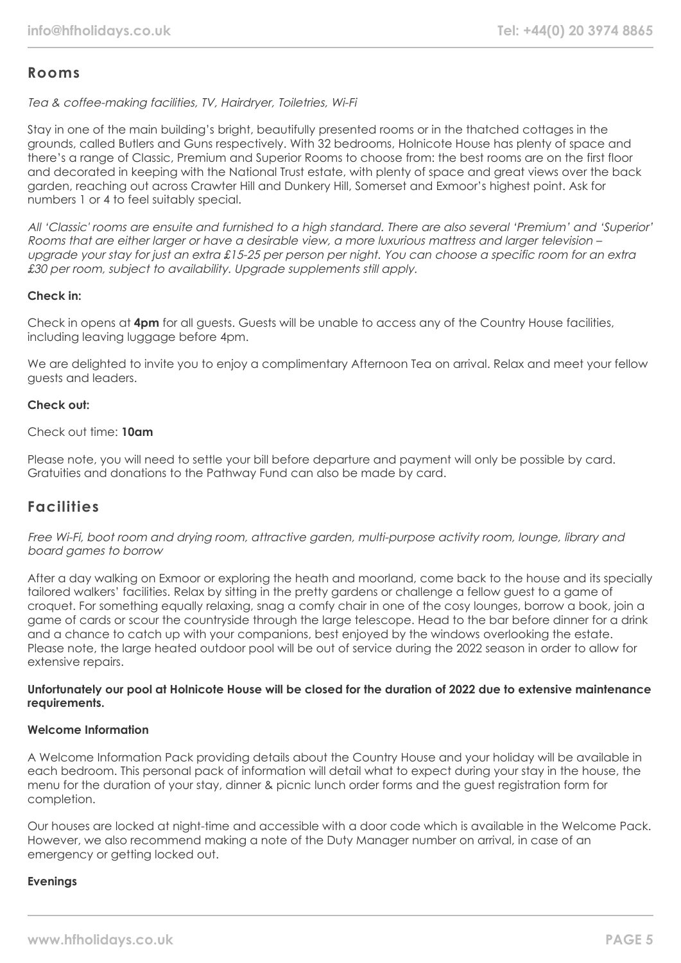## **Rooms**

Tea & coffee-making facilities, TV, Hairdryer, Toiletries, Wi-Fi

Stay in one of the main building's bright, beautifully presented rooms or in the thatched cottages in the grounds, called Butlers and Guns respectively. With 32 bedrooms, Holnicote House has plenty of space and there's a range of Classic, Premium and Superior Rooms to choose from: the best rooms are on the first floor and decorated in keeping with the National Trust estate, with plenty of space and great views over the back garden, reaching out across Crawter Hill and Dunkery Hill, Somerset and Exmoor's highest point. Ask for numbers 1 or 4 to feel suitably special.

All 'Classic' rooms are ensuite and furnished to a high standard. There are also several 'Premium' and 'Superior' Rooms that are either larger or have a desirable view, a more luxurious mattress and larger television – upgrade your stay for just an extra £15-25 per person per night. You can choose a specific room for an extra £30 per room, subject to availability. Upgrade supplements still apply.

#### **Check in:**

Check in opens at **4pm** for all guests. Guests will be unable to access any of the Country House facilities, including leaving luggage before 4pm.

We are delighted to invite you to enjoy a complimentary Afternoon Tea on arrival. Relax and meet your fellow guests and leaders.

#### **Check out:**

Check out time: **10am**

Please note, you will need to settle your bill before departure and payment will only be possible by card. Gratuities and donations to the Pathway Fund can also be made by card.

## **Facilities**

Free Wi-Fi, boot room and drying room, attractive garden, multi-purpose activity room, lounge, library and board games to borrow

After a day walking on Exmoor or exploring the heath and moorland, come back to the house and its specially tailored walkers' facilities. Relax by sitting in the pretty gardens or challenge a fellow guest to a game of croquet. For something equally relaxing, snag a comfy chair in one of the cosy lounges, borrow a book, join a game of cards or scour the countryside through the large telescope. Head to the bar before dinner for a drink and a chance to catch up with your companions, best enjoyed by the windows overlooking the estate. Please note, the large heated outdoor pool will be out of service during the 2022 season in order to allow for extensive repairs.

#### **Unfortunately our pool at Holnicote House will be closed for the duration of 2022 due to extensive maintenance requirements.**

#### **Welcome Information**

A Welcome Information Pack providing details about the Country House and your holiday will be available in each bedroom. This personal pack of information will detail what to expect during your stay in the house, the menu for the duration of your stay, dinner & picnic lunch order forms and the guest registration form for completion.

Our houses are locked at night-time and accessible with a door code which is available in the Welcome Pack. However, we also recommend making a note of the Duty Manager number on arrival, in case of an emergency or getting locked out.

#### **Evenings**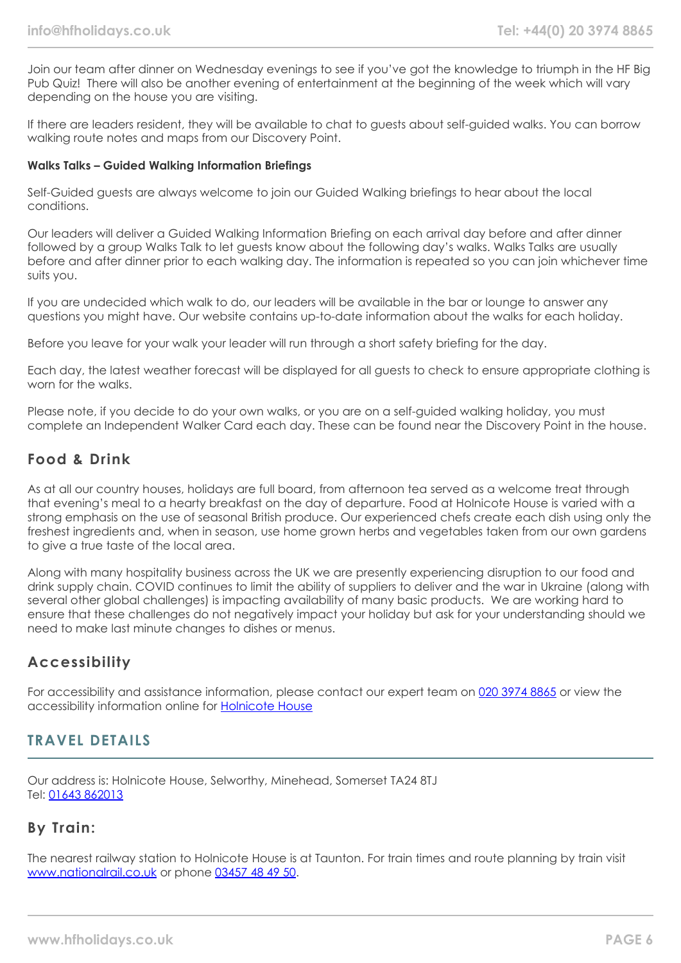Join our team after dinner on Wednesday evenings to see if you've got the knowledge to triumph in the HF Big Pub Quiz! There will also be another evening of entertainment at the beginning of the week which will vary depending on the house you are visiting.

If there are leaders resident, they will be available to chat to guests about self-guided walks. You can borrow walking route notes and maps from our Discovery Point.

#### **Walks Talks – Guided Walking Information Briefings**

Self-Guided guests are always welcome to join our Guided Walking briefings to hear about the local conditions.

Our leaders will deliver a Guided Walking Information Briefing on each arrival day before and after dinner followed by a group Walks Talk to let guests know about the following day's walks. Walks Talks are usually before and after dinner prior to each walking day. The information is repeated so you can join whichever time suits you.

If you are undecided which walk to do, our leaders will be available in the bar or lounge to answer any questions you might have. Our website contains up-to-date information about the walks for each holiday.

Before you leave for your walk your leader will run through a short safety briefing for the day.

Each day, the latest weather forecast will be displayed for all guests to check to ensure appropriate clothing is worn for the walks.

Please note, if you decide to do your own walks, or you are on a self-guided walking holiday, you must complete an Independent Walker Card each day. These can be found near the Discovery Point in the house.

#### **Food & Drink**

As at all our country houses, holidays are full board, from afternoon tea served as a welcome treat through that evening's meal to a hearty breakfast on the day of departure. Food at Holnicote House is varied with a strong emphasis on the use of seasonal British produce. Our experienced chefs create each dish using only the freshest ingredients and, when in season, use home grown herbs and vegetables taken from our own gardens to give a true taste of the local area.

Along with many hospitality business across the UK we are presently experiencing disruption to our food and drink supply chain. COVID continues to limit the ability of suppliers to deliver and the war in Ukraine (along with several other global challenges) is impacting availability of many basic products. We are working hard to ensure that these challenges do not negatively impact your holiday but ask for your understanding should we need to make last minute changes to dishes or menus.

#### **Accessibility**

For accessibility and assistance information, please contact our expert team on [020 3974 8865](tel:02039748865) or view the accessibility information online for [Holnicote House](https://www.hfholidays.co.uk/images/Documents/accessibility_statements/holnicote-house---accessibility-information---update-mar-2021.pdf)

#### **TRAVEL DETAILS**

Our address is: Holnicote House, Selworthy, Minehead, Somerset TA24 8TJ Tel: [01643 862013](tel:01643862013)

#### **By Train:**

The nearest railway station to Holnicote House is at Taunton. For train times and route planning by train visit [www.nationalrail.co.uk](https://www.nationalrail.co.uk/) or phone [03457 48 49 50.](tel:03457484950)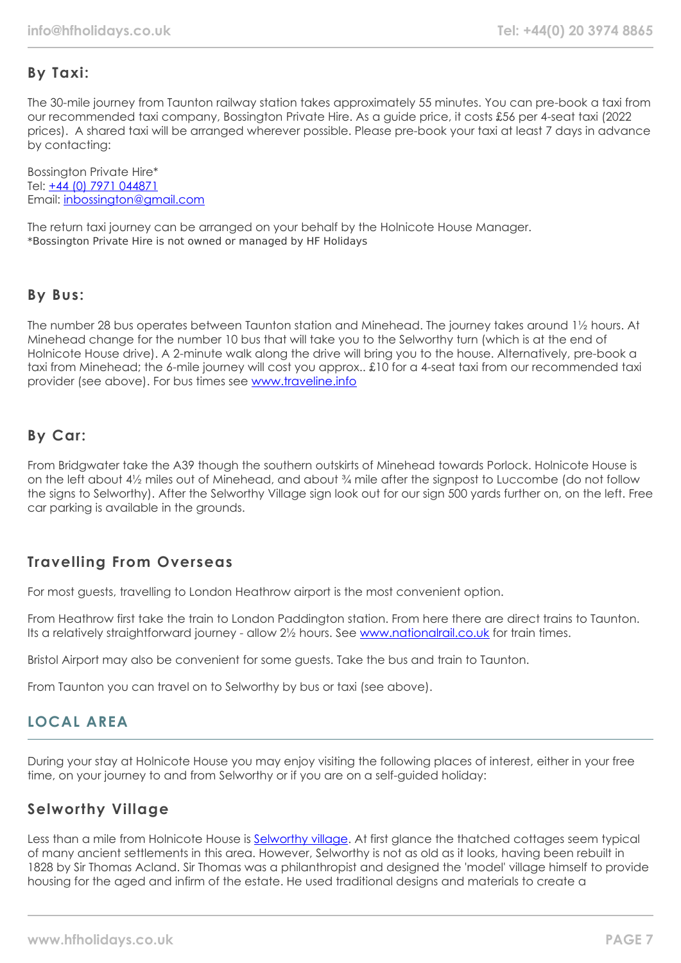# **By Taxi:**

The 30-mile journey from Taunton railway station takes approximately 55 minutes. You can pre-book a taxi from our recommended taxi company, Bossington Private Hire. As a guide price, it costs £56 per 4-seat taxi (2022 prices). A shared taxi will be arranged wherever possible. Please pre-book your taxi at least 7 days in advance by contacting:

Bossington Private Hire\* Tel: [+44 \(0\) 7971 044871](tel:07971044871) Email: [inbossington@gmail.com](mailto:mail:inbossington@gmail.com)

The return taxi journey can be arranged on your behalf by the Holnicote House Manager. \*Bossington Private Hire is not owned or managed by HF Holidays

## **By Bus:**

The number 28 bus operates between Taunton station and Minehead. The journey takes around 1½ hours. At Minehead change for the number 10 bus that will take you to the Selworthy turn (which is at the end of Holnicote House drive). A 2-minute walk along the drive will bring you to the house. Alternatively, pre-book a taxi from Minehead; the 6-mile journey will cost you approx.. £10 for a 4-seat taxi from our recommended taxi provider (see above). For bus times see [www.traveline.info](https://www.traveline.info/)

# **By Car:**

From Bridgwater take the A39 though the southern outskirts of Minehead towards Porlock. Holnicote House is on the left about 4½ miles out of Minehead, and about ¾ mile after the signpost to Luccombe (do not follow the signs to Selworthy). After the Selworthy Village sign look out for our sign 500 yards further on, on the left. Free car parking is available in the grounds.

# **Travelling From Overseas**

For most guests, travelling to London Heathrow airport is the most convenient option.

From Heathrow first take the train to London Paddington station. From here there are direct trains to Taunton. Its a relatively straightforward journey - allow 2½ hours. See [www.nationalrail.co.uk](https://www.nationalrail.co.uk/) for train times.

Bristol Airport may also be convenient for some guests. Take the bus and train to Taunton.

From Taunton you can travel on to Selworthy by bus or taxi (see above).

# **LOCAL AREA**

During your stay at Holnicote House you may enjoy visiting the following places of interest, either in your free time, on your journey to and from Selworthy or if you are on a self-guided holiday:

# **Selworthy Village**

Less than a mile from Holnicote House is [Selworthy village](https://www.visit-exmoor.co.uk/point-of-interest/selworthy). At first glance the thatched cottages seem typical of many ancient settlements in this area. However, Selworthy is not as old as it looks, having been rebuilt in 1828 by Sir Thomas Acland. Sir Thomas was a philanthropist and designed the 'model' village himself to provide housing for the aged and infirm of the estate. He used traditional designs and materials to create a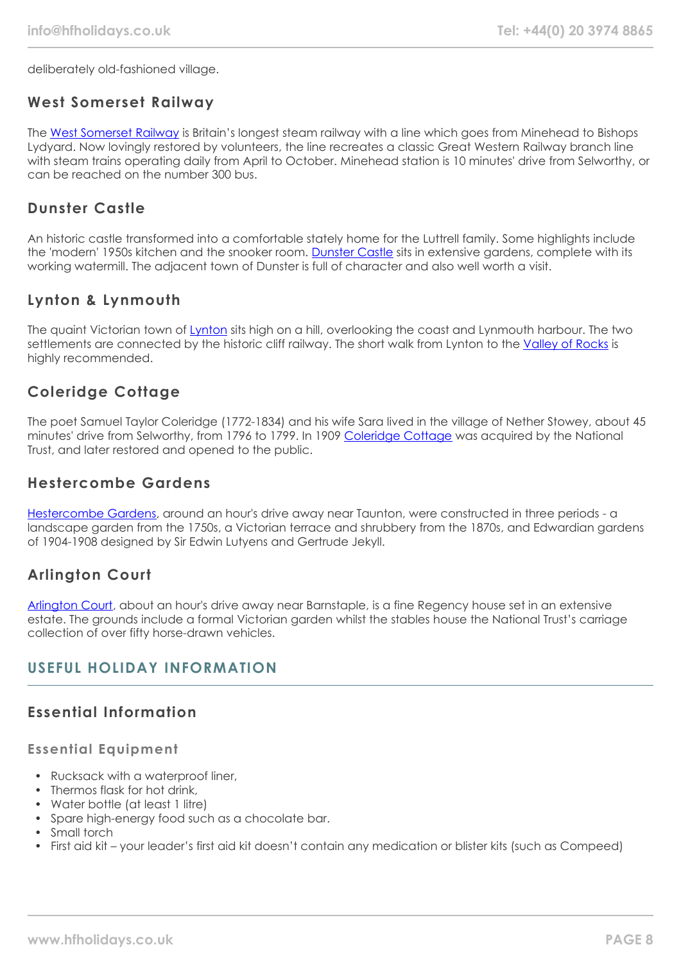deliberately old-fashioned village.

## **West Somerset Railway**

The [West Somerset Railway](https://www.west-somerset-railway.co.uk/) is Britain's longest steam railway with a line which goes from Minehead to Bishops Lydyard. Now lovingly restored by volunteers, the line recreates a classic Great Western Railway branch line with steam trains operating daily from April to October. Minehead station is 10 minutes' drive from Selworthy, or can be reached on the number 300 bus.

## **Dunster Castle**

An historic castle transformed into a comfortable stately home for the Luttrell family. Some highlights include the 'modern' 1950s kitchen and the snooker room. [Dunster Castle](https://www.nationaltrust.org.uk/dunster-castle-and-watermill) sits in extensive gardens, complete with its working watermill. The adjacent town of Dunster is full of character and also well worth a visit.

## **Lynton & Lynmouth**

The quaint Victorian town of [Lynton](https://visitlyntonandlynmouth.com/) sits high on a hill, overlooking the coast and Lynmouth harbour. The two settlements are connected by the historic cliff railway. The short walk from Lynton to the [Valley of Rocks](https://www.visit-exmoor.co.uk/point-of-interest/valley-of-rocks) is highly recommended.

# **Coleridge Cottage**

The poet Samuel Taylor Coleridge (1772-1834) and his wife Sara lived in the village of Nether Stowey, about 45 minutes' drive from Selworthy, from 1796 to 1799. In 1909 [Coleridge Cottage](https://www.nationaltrust.org.uk/coleridge-cottage) was acquired by the National Trust, and later restored and opened to the public.

#### **Hestercombe Gardens**

[Hestercombe Gardens,](https://www.hestercombe.com/) around an hour's drive away near Taunton, were constructed in three periods - a landscape garden from the 1750s, a Victorian terrace and shrubbery from the 1870s, and Edwardian gardens of 1904-1908 designed by Sir Edwin Lutyens and Gertrude Jekyll.

# **Arlington Court**

[Arlington Court,](https://www.nationaltrust.org.uk/arlington-court-and-the-national-trust-carriage-museum) about an hour's drive away near Barnstaple, is a fine Regency house set in an extensive estate. The grounds include a formal Victorian garden whilst the stables house the National Trust's carriage collection of over fifty horse-drawn vehicles.

## **USEFUL HOLIDAY INFORMATION**

## **Essential Information**

#### **Essential Equipment**

- Rucksack with a waterproof liner,
- Thermos flask for hot drink,
- Water bottle (at least 1 litre)
- Spare high-energy food such as a chocolate bar.
- Small torch
- First aid kit your leader's first aid kit doesn't contain any medication or blister kits (such as Compeed)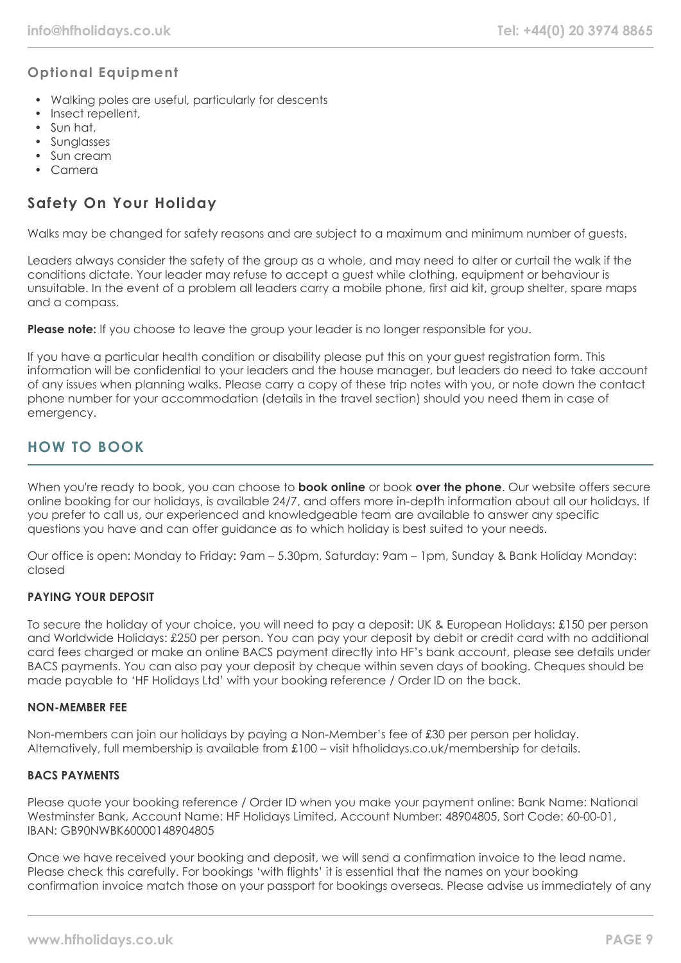#### **Optional Equipment**

- Walking poles are useful, particularly for descents
- Insect repellent,
- Sun hat,
- Sunglasses
- Sun cream
- Camera

## **Safety On Your Holiday**

Walks may be changed for safety reasons and are subject to a maximum and minimum number of guests.

Leaders always consider the safety of the group as a whole, and may need to alter or curtail the walk if the conditions dictate. Your leader may refuse to accept a guest while clothing, equipment or behaviour is unsuitable. In the event of a problem all leaders carry a mobile phone, first aid kit, group shelter, spare maps and a compass.

**Please note:** If you choose to leave the group your leader is no longer responsible for you.

If you have a particular health condition or disability please put this on your guest registration form. This information will be confidential to your leaders and the house manager, but leaders do need to take account of any issues when planning walks. Please carry a copy of these trip notes with you, or note down the contact phone number for your accommodation (details in the travel section) should you need them in case of emergency.

# **HOW TO BOOK**

When you're ready to book, you can choose to **book online** or book **over the phone**. Our website offers secure online booking for our holidays, is available 24/7, and offers more in-depth information about all our holidays. If you prefer to call us, our experienced and knowledgeable team are available to answer any specific questions you have and can offer guidance as to which holiday is best suited to your needs.

Our office is open: Monday to Friday: 9am – 5.30pm, Saturday: 9am – 1pm, Sunday & Bank Holiday Monday: closed

#### **PAYING YOUR DEPOSIT**

To secure the holiday of your choice, you will need to pay a deposit: UK & European Holidays: £150 per person and Worldwide Holidays: £250 per person. You can pay your deposit by debit or credit card with no additional card fees charged or make an online BACS payment directly into HF's bank account, please see details under BACS payments. You can also pay your deposit by cheque within seven days of booking. Cheques should be made payable to 'HF Holidays Ltd' with your booking reference / Order ID on the back.

#### **NON-MEMBER FEE**

Non-members can join our holidays by paying a Non-Member's fee of £30 per person per holiday. Alternatively, full membership is available from £100 – visit hfholidays.co.uk/membership for details.

#### **BACS PAYMENTS**

Please quote your booking reference / Order ID when you make your payment online: Bank Name: National Westminster Bank, Account Name: HF Holidays Limited, Account Number: 48904805, Sort Code: 60-00-01, IBAN: GB90NWBK60000148904805

Once we have received your booking and deposit, we will send a confirmation invoice to the lead name. Please check this carefully. For bookings 'with flights' it is essential that the names on your booking confirmation invoice match those on your passport for bookings overseas. Please advise us immediately of any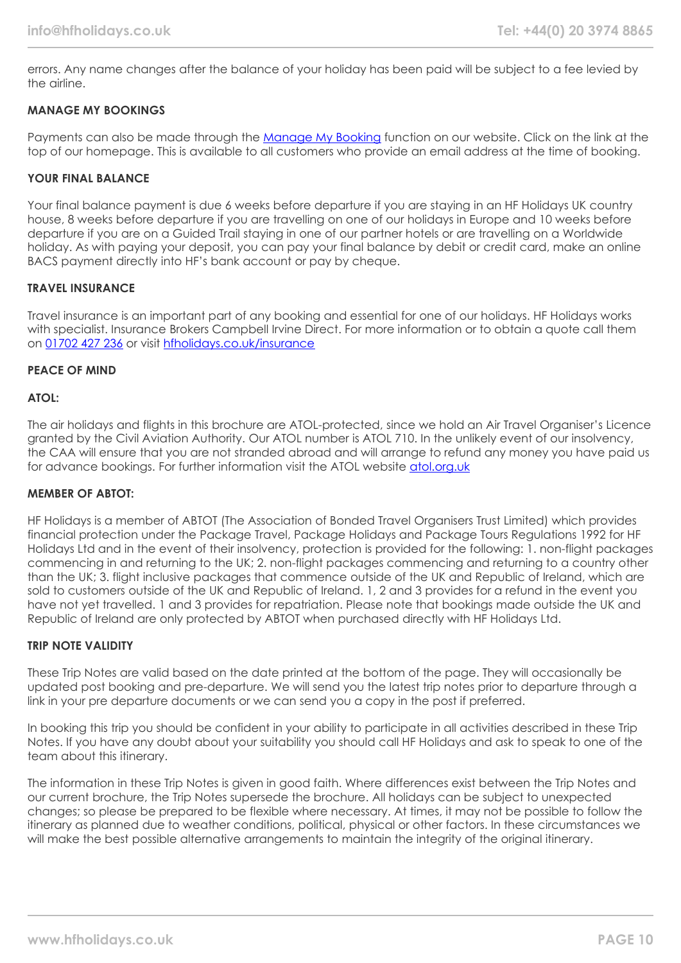errors. Any name changes after the balance of your holiday has been paid will be subject to a fee levied by the airline.

#### **MANAGE MY BOOKINGS**

Payments can also be made through the [Manage My Booking](https://www.hfholidays.co.uk/about-us/bookings/my-booking) function on our website. Click on the link at the top of our homepage. This is available to all customers who provide an email address at the time of booking.

#### **YOUR FINAL BALANCE**

Your final balance payment is due 6 weeks before departure if you are staying in an HF Holidays UK country house, 8 weeks before departure if you are travelling on one of our holidays in Europe and 10 weeks before departure if you are on a Guided Trail staying in one of our partner hotels or are travelling on a Worldwide holiday. As with paying your deposit, you can pay your final balance by debit or credit card, make an online BACS payment directly into HF's bank account or pay by cheque.

#### **TRAVEL INSURANCE**

Travel insurance is an important part of any booking and essential for one of our holidays. HF Holidays works with specialist. Insurance Brokers Campbell Irvine Direct. For more information or to obtain a quote call them on [01702 427 236](tel:01702427236) or visit [hfholidays.co.uk/insurance](https://www.hfholidays.co.uk/about-us/bookings/insurance)

#### **PEACE OF MIND**

#### **ATOL:**

The air holidays and flights in this brochure are ATOL-protected, since we hold an Air Travel Organiser's Licence granted by the Civil Aviation Authority. Our ATOL number is ATOL 710. In the unlikely event of our insolvency, the CAA will ensure that you are not stranded abroad and will arrange to refund any money you have paid us for advance bookings. For further information visit the ATOL website [atol.org.uk](https://www.atol.org/)

#### **MEMBER OF ABTOT:**

HF Holidays is a member of ABTOT (The Association of Bonded Travel Organisers Trust Limited) which provides financial protection under the Package Travel, Package Holidays and Package Tours Regulations 1992 for HF Holidays Ltd and in the event of their insolvency, protection is provided for the following: 1. non-flight packages commencing in and returning to the UK; 2. non-flight packages commencing and returning to a country other than the UK; 3. flight inclusive packages that commence outside of the UK and Republic of Ireland, which are sold to customers outside of the UK and Republic of Ireland. 1, 2 and 3 provides for a refund in the event you have not yet travelled. 1 and 3 provides for repatriation. Please note that bookings made outside the UK and Republic of Ireland are only protected by ABTOT when purchased directly with HF Holidays Ltd.

#### **TRIP NOTE VALIDITY**

These Trip Notes are valid based on the date printed at the bottom of the page. They will occasionally be updated post booking and pre-departure. We will send you the latest trip notes prior to departure through a link in your pre departure documents or we can send you a copy in the post if preferred.

In booking this trip you should be confident in your ability to participate in all activities described in these Trip Notes. If you have any doubt about your suitability you should call HF Holidays and ask to speak to one of the team about this itinerary.

The information in these Trip Notes is given in good faith. Where differences exist between the Trip Notes and our current brochure, the Trip Notes supersede the brochure. All holidays can be subject to unexpected changes; so please be prepared to be flexible where necessary. At times, it may not be possible to follow the itinerary as planned due to weather conditions, political, physical or other factors. In these circumstances we will make the best possible alternative arrangements to maintain the integrity of the original itinerary.